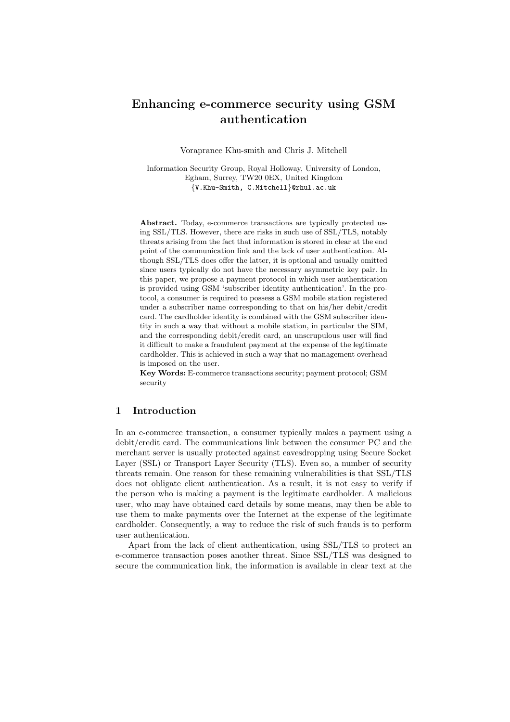# Enhancing e-commerce security using GSM authentication

Vorapranee Khu-smith and Chris J. Mitchell

Information Security Group, Royal Holloway, University of London, Egham, Surrey, TW20 0EX, United Kingdom {V.Khu-Smith, C.Mitchell}@rhul.ac.uk

Abstract. Today, e-commerce transactions are typically protected using SSL/TLS. However, there are risks in such use of SSL/TLS, notably threats arising from the fact that information is stored in clear at the end point of the communication link and the lack of user authentication. Although SSL/TLS does offer the latter, it is optional and usually omitted since users typically do not have the necessary asymmetric key pair. In this paper, we propose a payment protocol in which user authentication is provided using GSM 'subscriber identity authentication'. In the protocol, a consumer is required to possess a GSM mobile station registered under a subscriber name corresponding to that on his/her debit/credit card. The cardholder identity is combined with the GSM subscriber identity in such a way that without a mobile station, in particular the SIM, and the corresponding debit/credit card, an unscrupulous user will find it difficult to make a fraudulent payment at the expense of the legitimate cardholder. This is achieved in such a way that no management overhead is imposed on the user.

Key Words: E-commerce transactions security; payment protocol; GSM security

## 1 Introduction

In an e-commerce transaction, a consumer typically makes a payment using a debit/credit card. The communications link between the consumer PC and the merchant server is usually protected against eavesdropping using Secure Socket Layer (SSL) or Transport Layer Security (TLS). Even so, a number of security threats remain. One reason for these remaining vulnerabilities is that SSL/TLS does not obligate client authentication. As a result, it is not easy to verify if the person who is making a payment is the legitimate cardholder. A malicious user, who may have obtained card details by some means, may then be able to use them to make payments over the Internet at the expense of the legitimate cardholder. Consequently, a way to reduce the risk of such frauds is to perform user authentication.

Apart from the lack of client authentication, using SSL/TLS to protect an e-commerce transaction poses another threat. Since SSL/TLS was designed to secure the communication link, the information is available in clear text at the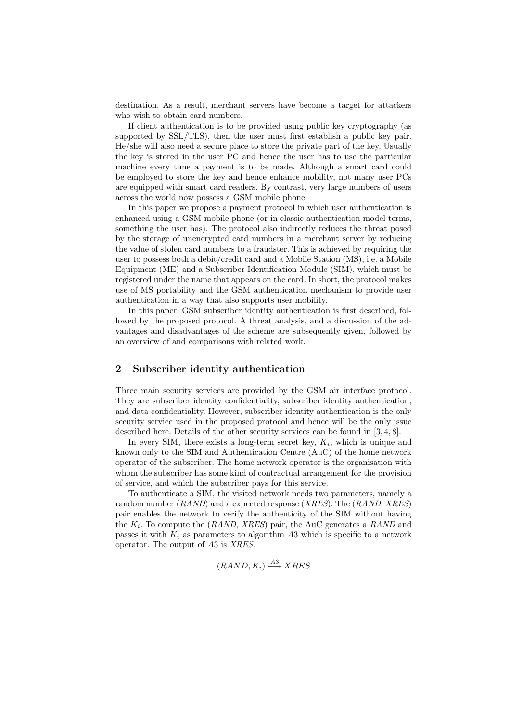destination. As a result, merchant servers have become a target for attackers who wish to obtain card numbers.

If client authentication is to be provided using public key cryptography (as supported by SSL/TLS), then the user must first establish a public key pair. He/she will also need a secure place to store the private part of the key. Usually the key is stored in the user PC and hence the user has to use the particular machine every time a payment is to be made. Although a smart card could be employed to store the key and hence enhance mobility, not many user PCs are equipped with smart card readers. By contrast, very large numbers of users across the world now possess a GSM mobile phone.

In this paper we propose a payment protocol in which user authentication is enhanced using a GSM mobile phone (or in classic authentication model terms, something the user has). The protocol also indirectly reduces the threat posed by the storage of unencrypted card numbers in a merchant server by reducing the value of stolen card numbers to a fraudster. This is achieved by requiring the user to possess both a debit/credit card and a Mobile Station (MS), i.e. a Mobile Equipment (ME) and a Subscriber Identification Module (SIM), which must be registered under the name that appears on the card. In short, the protocol makes use of MS portability and the GSM authentication mechanism to provide user authentication in a way that also supports user mobility.

In this paper, GSM subscriber identity authentication is first described, followed by the proposed protocol. A threat analysis, and a discussion of the advantages and disadvantages of the scheme are subsequently given, followed by an overview of and comparisons with related work.

## 2 Subscriber identity authentication

Three main security services are provided by the GSM air interface protocol. They are subscriber identity confidentiality, subscriber identity authentication, and data confidentiality. However, subscriber identity authentication is the only security service used in the proposed protocol and hence will be the only issue described here. Details of the other security services can be found in [3, 4, 8].

In every SIM, there exists a long-term secret key,  $K_i$ , which is unique and known only to the SIM and Authentication Centre (AuC) of the home network operator of the subscriber. The home network operator is the organisation with whom the subscriber has some kind of contractual arrangement for the provision of service, and which the subscriber pays for this service.

To authenticate a SIM, the visited network needs two parameters, namely a random number  $(RAND)$  and a expected response  $(XRES)$ . The  $(RAND, XRES)$ pair enables the network to verify the authenticity of the SIM without having the  $K_i$ . To compute the (RAND, XRES) pair, the AuC generates a RAND and passes it with  $K_i$  as parameters to algorithm A3 which is specific to a network operator. The output of A3 is XRES.

$$
(RAND, K_i) \xrightarrow{A3} XRES
$$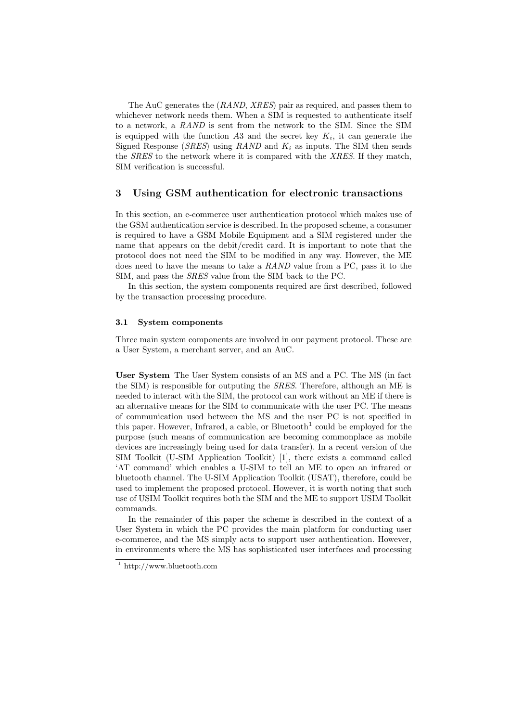The AuC generates the (RAND, XRES) pair as required, and passes them to whichever network needs them. When a SIM is requested to authenticate itself to a network, a RAND is sent from the network to the SIM. Since the SIM is equipped with the function  $A3$  and the secret key  $K_i$ , it can generate the Signed Response (*SRES*) using *RAND* and  $K_i$  as inputs. The SIM then sends the *SRES* to the network where it is compared with the *XRES*. If they match, SIM verification is successful.

## 3 Using GSM authentication for electronic transactions

In this section, an e-commerce user authentication protocol which makes use of the GSM authentication service is described. In the proposed scheme, a consumer is required to have a GSM Mobile Equipment and a SIM registered under the name that appears on the debit/credit card. It is important to note that the protocol does not need the SIM to be modified in any way. However, the ME does need to have the means to take a RAND value from a PC, pass it to the SIM, and pass the SRES value from the SIM back to the PC.

In this section, the system components required are first described, followed by the transaction processing procedure.

#### 3.1 System components

Three main system components are involved in our payment protocol. These are a User System, a merchant server, and an AuC.

User System The User System consists of an MS and a PC. The MS (in fact the SIM) is responsible for outputing the SRES. Therefore, although an ME is needed to interact with the SIM, the protocol can work without an ME if there is an alternative means for the SIM to communicate with the user PC. The means of communication used between the MS and the user PC is not specified in this paper. However, Infrared, a cable, or Bluetooth<sup>1</sup> could be employed for the purpose (such means of communication are becoming commonplace as mobile devices are increasingly being used for data transfer). In a recent version of the SIM Toolkit (U-SIM Application Toolkit) [1], there exists a command called 'AT command' which enables a U-SIM to tell an ME to open an infrared or bluetooth channel. The U-SIM Application Toolkit (USAT), therefore, could be used to implement the proposed protocol. However, it is worth noting that such use of USIM Toolkit requires both the SIM and the ME to support USIM Toolkit commands.

In the remainder of this paper the scheme is described in the context of a User System in which the PC provides the main platform for conducting user e-commerce, and the MS simply acts to support user authentication. However, in environments where the MS has sophisticated user interfaces and processing

<sup>1</sup> http://www.bluetooth.com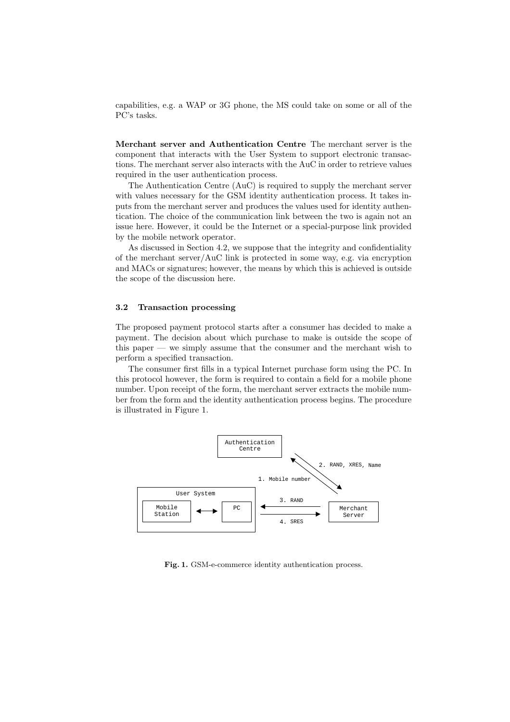capabilities, e.g. a WAP or 3G phone, the MS could take on some or all of the PC's tasks.

Merchant server and Authentication Centre The merchant server is the component that interacts with the User System to support electronic transactions. The merchant server also interacts with the AuC in order to retrieve values required in the user authentication process.

The Authentication Centre (AuC) is required to supply the merchant server with values necessary for the GSM identity authentication process. It takes inputs from the merchant server and produces the values used for identity authentication. The choice of the communication link between the two is again not an issue here. However, it could be the Internet or a special-purpose link provided by the mobile network operator.

As discussed in Section 4.2, we suppose that the integrity and confidentiality of the merchant server/AuC link is protected in some way, e.g. via encryption and MACs or signatures; however, the means by which this is achieved is outside the scope of the discussion here.

#### 3.2 Transaction processing

The proposed payment protocol starts after a consumer has decided to make a payment. The decision about which purchase to make is outside the scope of this paper — we simply assume that the consumer and the merchant wish to perform a specified transaction.

The consumer first fills in a typical Internet purchase form using the PC. In this protocol however, the form is required to contain a field for a mobile phone number. Upon receipt of the form, the merchant server extracts the mobile number from the form and the identity authentication process begins. The procedure is illustrated in Figure 1.



Fig. 1. GSM-e-commerce identity authentication process.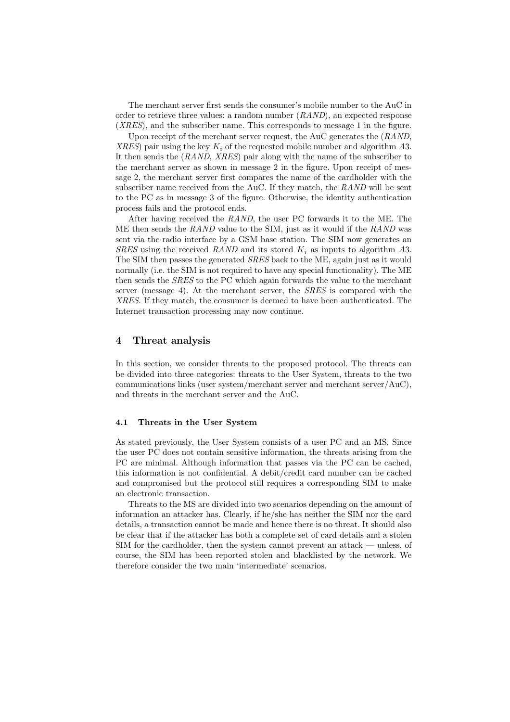The merchant server first sends the consumer's mobile number to the AuC in order to retrieve three values: a random number  $(RAND)$ , an expected response (XRES), and the subscriber name. This corresponds to message 1 in the figure.

Upon receipt of the merchant server request, the AuC generates the (RAND, XRES) pair using the key  $K_i$  of the requested mobile number and algorithm A3. It then sends the  $(RAND, XRES)$  pair along with the name of the subscriber to the merchant server as shown in message 2 in the figure. Upon receipt of message 2, the merchant server first compares the name of the cardholder with the subscriber name received from the AuC. If they match, the RAND will be sent to the PC as in message 3 of the figure. Otherwise, the identity authentication process fails and the protocol ends.

After having received the RAND, the user PC forwards it to the ME. The ME then sends the RAND value to the SIM, just as it would if the RAND was sent via the radio interface by a GSM base station. The SIM now generates an SRES using the received RAND and its stored  $K_i$  as inputs to algorithm A3. The SIM then passes the generated SRES back to the ME, again just as it would normally (i.e. the SIM is not required to have any special functionality). The ME then sends the SRES to the PC which again forwards the value to the merchant server (message 4). At the merchant server, the SRES is compared with the XRES. If they match, the consumer is deemed to have been authenticated. The Internet transaction processing may now continue.

## 4 Threat analysis

In this section, we consider threats to the proposed protocol. The threats can be divided into three categories: threats to the User System, threats to the two communications links (user system/merchant server and merchant server/AuC), and threats in the merchant server and the AuC.

#### 4.1 Threats in the User System

As stated previously, the User System consists of a user PC and an MS. Since the user PC does not contain sensitive information, the threats arising from the PC are minimal. Although information that passes via the PC can be cached, this information is not confidential. A debit/credit card number can be cached and compromised but the protocol still requires a corresponding SIM to make an electronic transaction.

Threats to the MS are divided into two scenarios depending on the amount of information an attacker has. Clearly, if he/she has neither the SIM nor the card details, a transaction cannot be made and hence there is no threat. It should also be clear that if the attacker has both a complete set of card details and a stolen SIM for the cardholder, then the system cannot prevent an attack — unless, of course, the SIM has been reported stolen and blacklisted by the network. We therefore consider the two main 'intermediate' scenarios.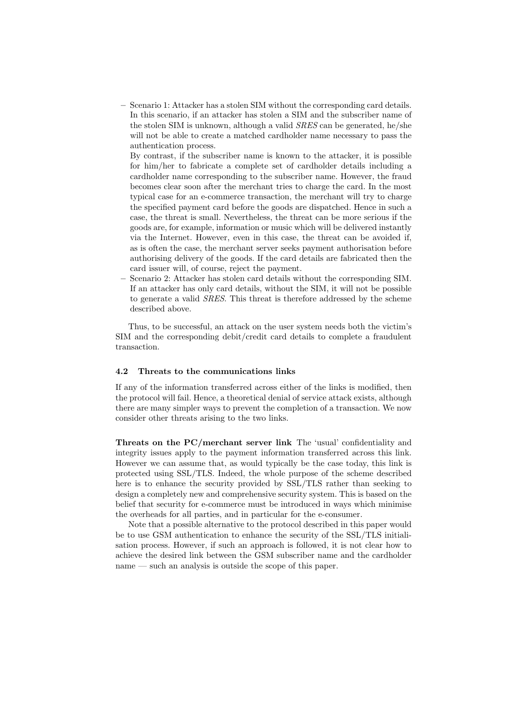– Scenario 1: Attacker has a stolen SIM without the corresponding card details. In this scenario, if an attacker has stolen a SIM and the subscriber name of the stolen SIM is unknown, although a valid SRES can be generated, he/she will not be able to create a matched cardholder name necessary to pass the authentication process.

By contrast, if the subscriber name is known to the attacker, it is possible for him/her to fabricate a complete set of cardholder details including a cardholder name corresponding to the subscriber name. However, the fraud becomes clear soon after the merchant tries to charge the card. In the most typical case for an e-commerce transaction, the merchant will try to charge the specified payment card before the goods are dispatched. Hence in such a case, the threat is small. Nevertheless, the threat can be more serious if the goods are, for example, information or music which will be delivered instantly via the Internet. However, even in this case, the threat can be avoided if, as is often the case, the merchant server seeks payment authorisation before authorising delivery of the goods. If the card details are fabricated then the card issuer will, of course, reject the payment.

– Scenario 2: Attacker has stolen card details without the corresponding SIM. If an attacker has only card details, without the SIM, it will not be possible to generate a valid SRES. This threat is therefore addressed by the scheme described above.

Thus, to be successful, an attack on the user system needs both the victim's SIM and the corresponding debit/credit card details to complete a fraudulent transaction.

## 4.2 Threats to the communications links

If any of the information transferred across either of the links is modified, then the protocol will fail. Hence, a theoretical denial of service attack exists, although there are many simpler ways to prevent the completion of a transaction. We now consider other threats arising to the two links.

Threats on the PC/merchant server link The 'usual' confidentiality and integrity issues apply to the payment information transferred across this link. However we can assume that, as would typically be the case today, this link is protected using SSL/TLS. Indeed, the whole purpose of the scheme described here is to enhance the security provided by SSL/TLS rather than seeking to design a completely new and comprehensive security system. This is based on the belief that security for e-commerce must be introduced in ways which minimise the overheads for all parties, and in particular for the e-consumer.

Note that a possible alternative to the protocol described in this paper would be to use GSM authentication to enhance the security of the SSL/TLS initialisation process. However, if such an approach is followed, it is not clear how to achieve the desired link between the GSM subscriber name and the cardholder name — such an analysis is outside the scope of this paper.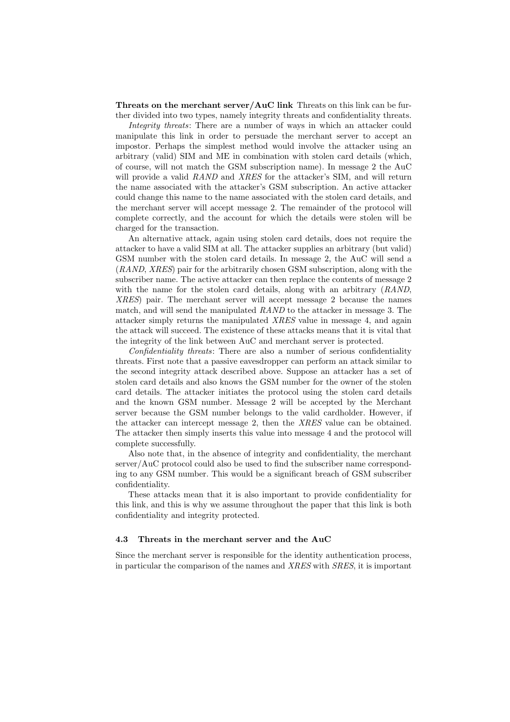Threats on the merchant server/AuC link Threats on this link can be further divided into two types, namely integrity threats and confidentiality threats.

Integrity threats: There are a number of ways in which an attacker could manipulate this link in order to persuade the merchant server to accept an impostor. Perhaps the simplest method would involve the attacker using an arbitrary (valid) SIM and ME in combination with stolen card details (which, of course, will not match the GSM subscription name). In message 2 the AuC will provide a valid RAND and XRES for the attacker's SIM, and will return the name associated with the attacker's GSM subscription. An active attacker could change this name to the name associated with the stolen card details, and the merchant server will accept message 2. The remainder of the protocol will complete correctly, and the account for which the details were stolen will be charged for the transaction.

An alternative attack, again using stolen card details, does not require the attacker to have a valid SIM at all. The attacker supplies an arbitrary (but valid) GSM number with the stolen card details. In message 2, the AuC will send a (RAND, XRES) pair for the arbitrarily chosen GSM subscription, along with the subscriber name. The active attacker can then replace the contents of message 2 with the name for the stolen card details, along with an arbitrary (RAND, XRES) pair. The merchant server will accept message 2 because the names match, and will send the manipulated  $RAND$  to the attacker in message 3. The attacker simply returns the manipulated XRES value in message 4, and again the attack will succeed. The existence of these attacks means that it is vital that the integrity of the link between AuC and merchant server is protected.

Confidentiality threats: There are also a number of serious confidentiality threats. First note that a passive eavesdropper can perform an attack similar to the second integrity attack described above. Suppose an attacker has a set of stolen card details and also knows the GSM number for the owner of the stolen card details. The attacker initiates the protocol using the stolen card details and the known GSM number. Message 2 will be accepted by the Merchant server because the GSM number belongs to the valid cardholder. However, if the attacker can intercept message 2, then the XRES value can be obtained. The attacker then simply inserts this value into message 4 and the protocol will complete successfully.

Also note that, in the absence of integrity and confidentiality, the merchant server/AuC protocol could also be used to find the subscriber name corresponding to any GSM number. This would be a significant breach of GSM subscriber confidentiality.

These attacks mean that it is also important to provide confidentiality for this link, and this is why we assume throughout the paper that this link is both confidentiality and integrity protected.

#### 4.3 Threats in the merchant server and the AuC

Since the merchant server is responsible for the identity authentication process, in particular the comparison of the names and XRES with SRES, it is important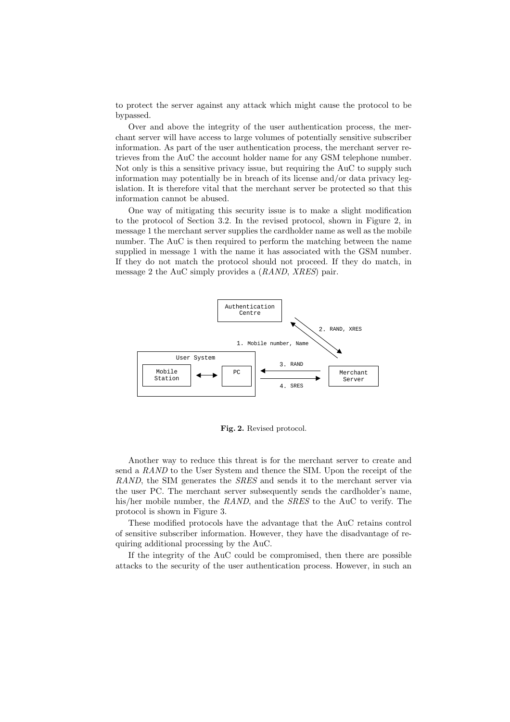to protect the server against any attack which might cause the protocol to be bypassed.

Over and above the integrity of the user authentication process, the merchant server will have access to large volumes of potentially sensitive subscriber information. As part of the user authentication process, the merchant server retrieves from the AuC the account holder name for any GSM telephone number. Not only is this a sensitive privacy issue, but requiring the AuC to supply such information may potentially be in breach of its license and/or data privacy legislation. It is therefore vital that the merchant server be protected so that this information cannot be abused.

One way of mitigating this security issue is to make a slight modification to the protocol of Section 3.2. In the revised protocol, shown in Figure 2, in message 1 the merchant server supplies the cardholder name as well as the mobile number. The AuC is then required to perform the matching between the name supplied in message 1 with the name it has associated with the GSM number. If they do not match the protocol should not proceed. If they do match, in message 2 the AuC simply provides a (RAND, XRES) pair.



Fig. 2. Revised protocol.

Another way to reduce this threat is for the merchant server to create and send a RAND to the User System and thence the SIM. Upon the receipt of the RAND, the SIM generates the *SRES* and sends it to the merchant server via the user PC. The merchant server subsequently sends the cardholder's name, his/her mobile number, the RAND, and the SRES to the AuC to verify. The protocol is shown in Figure 3.

These modified protocols have the advantage that the AuC retains control of sensitive subscriber information. However, they have the disadvantage of requiring additional processing by the AuC.

If the integrity of the AuC could be compromised, then there are possible attacks to the security of the user authentication process. However, in such an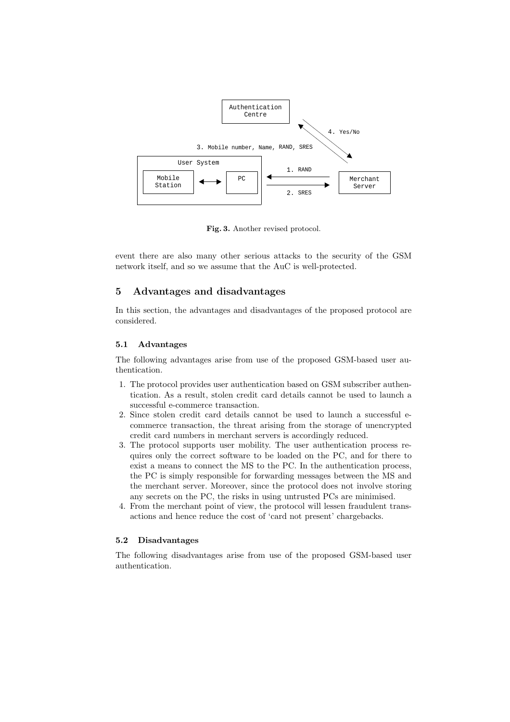

Fig. 3. Another revised protocol.

event there are also many other serious attacks to the security of the GSM network itself, and so we assume that the AuC is well-protected.

## 5 Advantages and disadvantages

In this section, the advantages and disadvantages of the proposed protocol are considered.

#### 5.1 Advantages

The following advantages arise from use of the proposed GSM-based user authentication.

- 1. The protocol provides user authentication based on GSM subscriber authentication. As a result, stolen credit card details cannot be used to launch a successful e-commerce transaction.
- 2. Since stolen credit card details cannot be used to launch a successful ecommerce transaction, the threat arising from the storage of unencrypted credit card numbers in merchant servers is accordingly reduced.
- 3. The protocol supports user mobility. The user authentication process requires only the correct software to be loaded on the PC, and for there to exist a means to connect the MS to the PC. In the authentication process, the PC is simply responsible for forwarding messages between the MS and the merchant server. Moreover, since the protocol does not involve storing any secrets on the PC, the risks in using untrusted PCs are minimised.
- 4. From the merchant point of view, the protocol will lessen fraudulent transactions and hence reduce the cost of 'card not present' chargebacks.

#### 5.2 Disadvantages

The following disadvantages arise from use of the proposed GSM-based user authentication.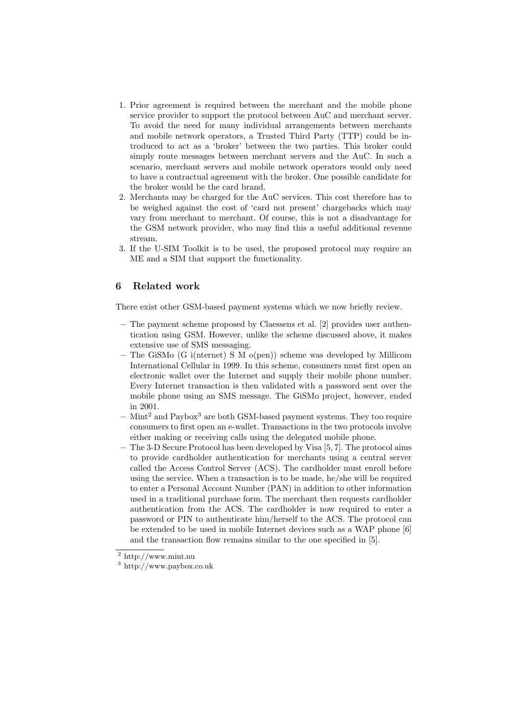- 1. Prior agreement is required between the merchant and the mobile phone service provider to support the protocol between AuC and merchant server. To avoid the need for many individual arrangements between merchants and mobile network operators, a Trusted Third Party (TTP) could be introduced to act as a 'broker' between the two parties. This broker could simply route messages between merchant servers and the AuC. In such a scenario, merchant servers and mobile network operators would only need to have a contractual agreement with the broker. One possible candidate for the broker would be the card brand.
- 2. Merchants may be charged for the AuC services. This cost therefore has to be weighed against the cost of 'card not present' chargebacks which may vary from merchant to merchant. Of course, this is not a disadvantage for the GSM network provider, who may find this a useful additional revenue stream.
- 3. If the U-SIM Toolkit is to be used, the proposed protocol may require an ME and a SIM that support the functionality.

## 6 Related work

There exist other GSM-based payment systems which we now briefly review.

- The payment scheme proposed by Claessens et al. [2] provides user authentication using GSM. However, unlike the scheme discussed above, it makes extensive use of SMS messaging.
- The GiSMo (G i(nternet) S M o(pen)) scheme was developed by Millicom International Cellular in 1999. In this scheme, consumers must first open an electronic wallet over the Internet and supply their mobile phone number. Every Internet transaction is then validated with a password sent over the mobile phone using an SMS message. The GiSMo project, however, ended in 2001.
- $-$  Mint<sup>2</sup> and Paybox<sup>3</sup> are both GSM-based payment systems. They too require consumers to first open an e-wallet. Transactions in the two protocols involve either making or receiving calls using the delegated mobile phone.
- The 3-D Secure Protocol has been developed by Visa [5, 7]. The protocol aims to provide cardholder authentication for merchants using a central server called the Access Control Server (ACS). The cardholder must enroll before using the service. When a transaction is to be made, he/she will be required to enter a Personal Account Number (PAN) in addition to other information used in a traditional purchase form. The merchant then requests cardholder authentication from the ACS. The cardholder is now required to enter a password or PIN to authenticate him/herself to the ACS. The protocol can be extended to be used in mobile Internet devices such as a WAP phone [6] and the transaction flow remains similar to the one specified in [5].

<sup>2</sup> http://www.mint.nu

<sup>3</sup> http://www.paybox.co.uk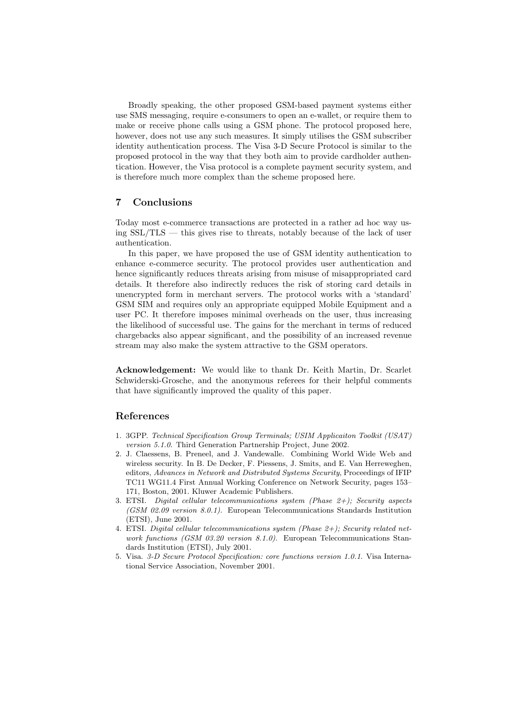Broadly speaking, the other proposed GSM-based payment systems either use SMS messaging, require e-consumers to open an e-wallet, or require them to make or receive phone calls using a GSM phone. The protocol proposed here, however, does not use any such measures. It simply utilises the GSM subscriber identity authentication process. The Visa 3-D Secure Protocol is similar to the proposed protocol in the way that they both aim to provide cardholder authentication. However, the Visa protocol is a complete payment security system, and is therefore much more complex than the scheme proposed here.

# 7 Conclusions

Today most e-commerce transactions are protected in a rather ad hoc way using SSL/TLS — this gives rise to threats, notably because of the lack of user authentication.

In this paper, we have proposed the use of GSM identity authentication to enhance e-commerce security. The protocol provides user authentication and hence significantly reduces threats arising from misuse of misappropriated card details. It therefore also indirectly reduces the risk of storing card details in unencrypted form in merchant servers. The protocol works with a 'standard' GSM SIM and requires only an appropriate equipped Mobile Equipment and a user PC. It therefore imposes minimal overheads on the user, thus increasing the likelihood of successful use. The gains for the merchant in terms of reduced chargebacks also appear significant, and the possibility of an increased revenue stream may also make the system attractive to the GSM operators.

Acknowledgement: We would like to thank Dr. Keith Martin, Dr. Scarlet Schwiderski-Grosche, and the anonymous referees for their helpful comments that have significantly improved the quality of this paper.

# References

- 1. 3GPP. Technical Specification Group Terminals; USIM Applicaiton Toolkit (USAT) version 5.1.0. Third Generation Partnership Project, June 2002.
- 2. J. Claessens, B. Preneel, and J. Vandewalle. Combining World Wide Web and wireless security. In B. De Decker, F. Piessens, J. Smits, and E. Van Herreweghen, editors, Advances in Network and Distributed Systems Security, Proceedings of IFIP TC11 WG11.4 First Annual Working Conference on Network Security, pages 153– 171, Boston, 2001. Kluwer Academic Publishers.
- 3. ETSI. Digital cellular telecommunications system (Phase 2+); Security aspects (GSM 02.09 version 8.0.1). European Telecommunications Standards Institution (ETSI), June 2001.
- 4. ETSI. Digital cellular telecommunications system (Phase 2+); Security related network functions (GSM 03.20 version 8.1.0). European Telecommunications Standards Institution (ETSI), July 2001.
- 5. Visa. 3-D Secure Protocol Specification: core functions version 1.0.1. Visa International Service Association, November 2001.